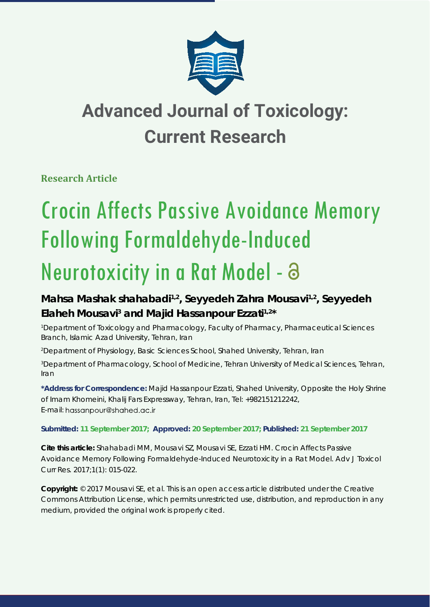

## **Advanced Journal of Toxicology: Current Research**

**Research Article** 

# Crocin Affects Passive Avoidance Memory Following Formaldehyde-Induced

## Neurotoxicity in a Rat Model - a

### **Mahsa Mashak shahabadi1,2, Seyyedeh Zahra Mousavi1,2, Seyyedeh**  Elaheh Mousavi<sup>3</sup> and Majid Hassanpour Ezzati<sup>1,2\*</sup>

*1 Department of Toxicology and Pharmacology, Faculty of Pharmacy, Pharmaceutical Sciences Branch, Islamic Azad University, Tehran, Iran*

*2 Department of Physiology, Basic Sciences School, Shahed University, Tehran, Iran*

*3 Department of Pharmacology, School of Medicine, Tehran University of Medical Sciences, Tehran, Iran*

**\*Address for Correspondence:** Majid Hassanpour Ezzati, Shahed University, Opposite the Holy Shrine of Imam Khomeini, Khalij Fars Expressway, Tehran, Iran, Tel: +982151212242, E-mail: hassanpour@shahed.ac.ir

**Submitted: 11 September 2017; Approved: 20 September 2017; Published: 21 September 2017**

**Cite this article:** Shahabadi MM, Mousavi SZ, Mousavi SE, Ezzati HM. Crocin Affects Passive Avoidance Memory Following Formaldehyde-Induced Neurotoxicity in a Rat Model. Adv J Toxicol Curr Res. 2017;1(1): 015-022.

**Copyright:** © 2017 Mousavi SE, et al. This is an open access article distributed under the Creative Commons Attribution License, which permits unrestricted use, distribution, and reproduction in any medium, provided the original work is properly cited.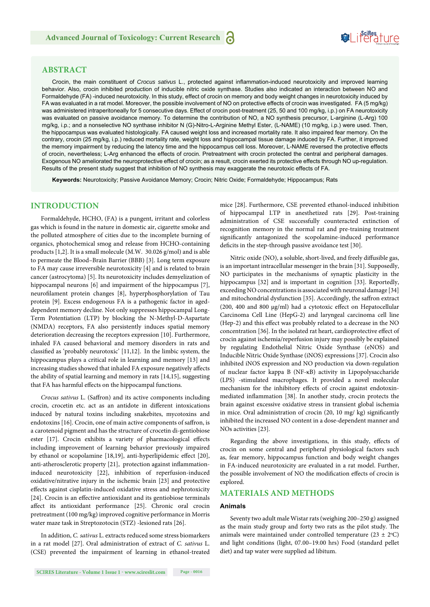### **SeiRes** ture

#### **ABSTRACT**

Crocin, the main constituent of *Crocus sativus* L., protected against inflammation-induced neurotoxicity and improved learning behavior. Also, crocin inhibited production of inducible nitric oxide synthase. Studies also indicated an interaction between NO and Formaldehyde (FA) -induced neurotoxicity. In this study, effect of crocin on memory and body weight changes in neurotoxicity induced by FA was evaluated in a rat model. Moreover, the possible involvement of NO on protective effects of crocin was investigated. FA (5 mg/kg) was administered intraperitoneally for 5 consecutive days. Effect of crocin post-treatment (25, 50 and 100 mg/kg, i.p.) on FA neurotoxicity was evaluated on passive avoidance memory. To determine the contribution of NO, a NO synthesis precursor, L-arginine (L-Arg) 100 mg/kg, i.p.; and a nonselective NO synthase inhibitor N (G)-Nitro-L-Arginine Methyl Ester, (L-NAME) (10 mg/kg, i.p.) were used. Then, the hippocampus was evaluated histologically. FA caused weight loss and increased mortality rate. It also impaired fear memory. On the contrary, crocin (25 mg/kg, i.p.) reduced mortality rate, weight loss and hippocampal tissue damage induced by FA. Further, it improved the memory impairment by reducing the latency time and the hippocampus cell loss. Moreover, L-NAME reversed the protective effects of crocin, nevertheless; L-Arg enhanced the effects of crocin. Pretreatment with crocin protected the central and peripheral damages. Exogenous NO ameliorated the neuroprotective effect of crocin; as a result, crocin exerted its protective effects through NO up-regulation. Results of the present study suggest that inhibition of NO synthesis may exaggerate the neurotoxic effects of FA.

**Keywords:** Neurotoxicity; Passive Avoidance Memory; Crocin; Nitric Oxide; Formaldehyde; Hippocampus; Rats

#### **INTRODUCTION**

Formaldehyde, HCHO, (FA) is a pungent, irritant and colorless gas which is found in the nature in domestic air, cigarette smoke and the polluted atmosphere of cities due to the incomplete burning of organics, photochemical smog and release from HCHO-containing products [1,2]. It is a small molecule (M.W. 30.026 g/mol) and is able to permeate the Blood–Brain Barrier (BBB) [3]. Long term exposure to FA may cause irreversible neurotoxicity [4] and is related to brain cancer (astrocytoma) [5]. Its neurotoxicity includes demyelization of hippocampal neurons [6] and impairment of the hippocampus [7], neurofilament protein changes [8], hyperphosphorylation of Tau protein [9]. Excess endogenous FA is a pathogenic factor in ageddependent memory decline. Not only suppresses hippocampal Long-Term Potentiation (LTP) by blocking the N-Methyl-D-Aspartate (NMDA) receptors, FA also persistently induces spatial memory deterioration decreasing the receptors expression [10]. Furthermore, inhaled FA caused behavioral and memory disorders in rats and classified as 'probably neurotoxic' [11,12]. In the limbic system, the hippocampus plays a critical role in learning and memory [13] and increasing studies showed that inhaled FA exposure negatively affects the ability of spatial learning and memory in rats [14,15], suggesting that FA has harmful effects on the hippocampal functions.

*Crocus sativus* L. (Saffron) and its active components including crocin, crocetin etc. act as an antidote in different intoxications induced by natural toxins including snakebites, mycotoxins and endotoxins [16]. Crocin, one of main active components of saffron, is a carotenoid pigment and has the structure of crocetin di-gentiobiose ester [17]. Crocin exhibits a variety of pharmacological effects including improvement of learning behavior previously impaired by ethanol or scopolamine [18,19], anti-hyperlipidemic effect [20], anti-atherosclerotic property  $[21]$ , protection against inflammationinduced neurotoxicity [22], inhibition of reperfusion-induced oxidative/nitrative injury in the ischemic brain [23] and protective effects against cisplatin-induced oxidative stress and nephrotoxicity [24]. Crocin is an effective antioxidant and its gentiobiose terminals affect its antioxidant performance [25]. Chronic oral crocin pretreatment (100 mg/kg) improved cognitive performance in Morris water maze task in Streptozotocin (STZ) -lesioned rats [26].

In addition, *C. sativus* L. extracts reduced some stress biomarkers in a rat model [27]. Oral administration of extract of *C. sativus* L. (CSE) prevented the impairment of learning in ethanol-treated mice [28]. Furthermore, CSE prevented ethanol-induced inhibition of hippocampal LTP in anesthetized rats [29]. Post-training administration of CSE successfully counteracted extinction of recognition memory in the normal rat and pre-training treatment significantly antagonized the scopolamine-induced performance deficits in the step-through passive avoidance test [30].

Nitric oxide (NO), a soluble, short-lived, and freely diffusible gas, is an important intracellular messenger in the brain [31]. Supposedly, NO participates in the mechanisms of synaptic plasticity in the hippocampus [32] and is important in cognition [33]. Reportedly, exceeding NO concentrations is associated with neuronal damage [34] and mitochondrial dysfunction [35]. Accordingly, the saffron extract (200, 400 and 800  $\mu$ g/ml) had a cytotoxic effect on Hepatocellular Carcinoma Cell Line (HepG-2) and laryngeal carcinoma cell line (Hep-2) and this effect was probably related to a decrease in the NO concentration [36]. In the isolated rat heart, cardioprotective effect of crocin against ischemia/reperfusion injury may possibly be explained by regulating Endothelial Nitric Oxide Synthase (eNOS) and Inducible Nitric Oxide Synthase (iNOS) expressions [37]. Crocin also inhibited iNOS expression and NO production via down-regulation of nuclear factor kappa B (NF-κB) activity in Lipopolysaccharide (LPS) -stimulated macrophages. It provided a novel molecular mechanism for the inhibitory effects of crocin against endotoxinmediated inflammation [38]. In another study, crocin protects the brain against excessive oxidative stress in transient global ischemia in mice. Oral administration of crocin  $(20, 10 \text{ mg}/ \text{ kg})$  significantly inhibited the increased NO content in a dose-dependent manner and NOs activities [23].

Regarding the above investigations, in this study, effects of crocin on some central and peripheral physiological factors such as, fear memory, hippocampus function and body weight changes in FA-induced neurotoxicity are evaluated in a rat model. Further, the possible involvement of NO the modification effects of crocin is explored.

#### **MATERIALS AND METHODS**

#### **Animals**

Seventy two adult male Wistar rats (weighing 200–250 g) assigned as the main study group and forty two rats as the pilot study. The animals were maintained under controlled temperature (23  $\pm$  2°C) and light conditions (light, 07.00–19.00 hrs) Food (standard pellet diet) and tap water were supplied ad libitum.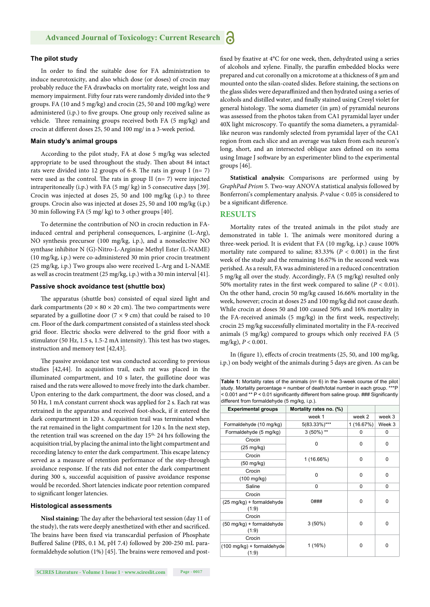#### **The pilot study**

In order to find the suitable dose for FA administration to induce neurotoxicity, and also which dose (or doses) of crocin may probably reduce the FA drawbacks on mortality rate, weight loss and memory impairment. Fifty four rats were randomly divided into the 9 groups. FA (10 and 5 mg/kg) and crocin (25, 50 and 100 mg/kg) were administered (i.p.) to five groups. One group only received saline as vehicle. Three remaining groups received both FA (5 mg/kg) and crocin at different doses 25, 50 and 100 mg/ in a 3-week period.

#### **Main study's animal groups**

According to the pilot study, FA at dose 5 mg/kg was selected appropriate to be used throughout the study. Then about 84 intact rats were divided into 12 groups of 6-8. The rats in group I ( $n= 7$ ) were used as the control. The rats in group II ( $n= 7$ ) were injected intraperitoneally (i.p.) with FA (5 mg/ kg) in 5 consecutive days [39]. Crocin was injected at doses 25, 50 and 100 mg/kg (i.p.) to three groups. Crocin also was injected at doses 25, 50 and 100 mg/kg (i.p.) 30 min following FA (5 mg/ kg) to 3 other groups [40].

To determine the contribution of NO in crocin reduction in FAinduced central and peripheral consequences, L-arginine (L-Arg), NO synthesis precursor (100 mg/kg, i.p.), and a nonselective NO synthase inhibitor N (G)-Nitro-L-Arginine Methyl Ester (L-NAME) (10 mg/kg, i.p.) were co-administered 30 min prior crocin treatment (25 mg/kg, i.p.) Two groups also were received L-Arg and L-NAME as well as crocin treatment (25 mg/kg, i.p.) with a 30 min interval [41].

#### **Passive shock avoidance test (shuttle box)**

The apparatus (shuttle box) consisted of equal sized light and dark compartments (20  $\times$  80  $\times$  20 cm). The two compartments were separated by a guillotine door ( $7 \times 9$  cm) that could be raised to 10 cm. Floor of the dark compartment consisted of a stainless steel shock grid floor. Electric shocks were delivered to the grid floor with a stimulator (50 Hz, 1.5 s, 1.5-2 mA intensity). This test has two stages, instruction and memory test [42,43].

The passive avoidance test was conducted according to previous studies [42,44]. In acquisition trail, each rat was placed in the illuminated compartment, and 10 s later, the guillotine door was raised and the rats were allowed to move freely into the dark chamber. Upon entering to the dark compartment, the door was closed, and a 50 Hz, 1 mA constant current shock was applied for 2 s. Each rat was retrained in the apparatus and received foot-shock, if it entered the dark compartment in 120 s. Acquisition trail was terminated when the rat remained in the light compartment for 120 s. In the next step, the retention trail was screened on the day 15<sup>th,</sup> 24 hrs following the acquisition trial, by placing the animal into the light compartment and recording latency to enter the dark compartment. This escape latency served as a measure of retention performance of the step-through avoidance response. If the rats did not enter the dark compartment during 300 s, successful acquisition of passive avoidance response would be recorded. Short latencies indicate poor retention compared to significant longer latencies.

#### **Histological assessments**

Nissl staining: The day after the behavioral test session (day 11 of the study), the rats were deeply anesthetized with ether and sacrificed. The brains have been fixed via transcardial perfusion of Phosphate Buffered Saline (PBS, 0.1 M, pH 7.4) followed by 200-250 mL paraformaldehyde solution  $(1\%)$  [45]. The brains were removed and postfixed by fixative at 4°C for one week, then, dehydrated using a series of alcohols and xylene. Finally, the paraffin embedded blocks were prepared and cut coronally on a microtome at a thick ness of 8 μm and mounted onto the silan-coated slides. Before staining, the sections on the glass slides were deparaffinized and then hydrated using a series of alcohols and distilled water, and finally stained using Cresyl violet for general histology. The soma diameter (in  $\mu$ m) of pyramidal neurons was assessed from the photos taken from CA1 pyramidal layer under 40X light microscopy. To quantify the soma diameters, a pyramidallike neuron was randomly selected from pyramidal layer of the CA1 region from each slice and an average was taken from each neuron's long, short, and an intersected oblique axes defined on its soma using Image J software by an experimenter blind to the experimental groups [46].

**Statistical analysis:** Comparisons are performed using by *GraphPad Prism* 5. Two-way ANOVA statistical analysis followed by Bonferroni's complementary analysis. *P*-value < 0.05 is considered to be a significant difference.

#### **RESULTS**

Mortality rates of the treated animals in the pilot study are demonstrated in table 1. The animals were monitored during a three-week period. It is evident that FA (10 mg/kg, i.p.) cause 100% mortality rate compared to saline;  $83.33\%$  ( $P < 0.001$ ) in the first week of the study and the remaining 16.67% in the second week was perished. As a result, FA was administered in a reduced concentration 5 mg/kg all over the study. Accordingly, FA (5 mg/kg) resulted only 50% mortality rates in the first week compared to saline  $(P < 0.01)$ . On the other hand, crocin 50 mg/kg caused 16.66% mortality in the week, however; crocin at doses 25 and 100 mg/kg did not cause death. While crocin at doses 50 and 100 caused 50% and 16% mortality in the FA-received animals  $(5 \text{ mg/kg})$  in the first week, respectively; crocin 25 mg/kg successfully eliminated mortality in the FA-received animals (5 mg/kg) compared to groups which only received FA (5 mg/kg), *P* < 0.001.

In (figure 1), effects of crocin treatments (25, 50, and 100 mg/kg, i.p.) on body weight of the animals during 5 days are given. As can be

| <b>Table 1:</b> Mortality rates of the animals $(n=6)$ in the 3-week course of the pilot |
|------------------------------------------------------------------------------------------|
| study. Mortality percentage = number of death/total number in each group. ***P           |
| < 0.001 and ** P < 0.01 significantly different from saline group. ### Significantly     |
| different from formaldehyde (5 mg/kg, i.p.).                                             |
|                                                                                          |

| <b>Experimental groups</b>                    | Mortality rates no. (%) |           |          |
|-----------------------------------------------|-------------------------|-----------|----------|
|                                               |                         |           |          |
|                                               | week 1                  | week 2    | week 3   |
| Formaldehyde (10 mg/kg)                       | 5(83.33%)***            | 1(16.67%) | Week 3   |
| Formaldehyde (5 mg/kg)                        | $3(50\%)$ **            | 0         | 0        |
| Crocin                                        | 0                       | 0         | 0        |
| (25 mg/kg)                                    |                         |           |          |
| Crocin                                        | 1 (16.66%)              | 0         | 0        |
| (50 mg/kg)                                    |                         |           |          |
| Crocin                                        | 0                       | 0         | $\Omega$ |
| (100 mg/kg)                                   |                         |           |          |
| Saline                                        | 0                       | 0         | 0        |
| Crocin                                        | $0$ ###                 | 0         | $\Omega$ |
| $(25 \text{ mg/kg}) +$ formaldehyde<br>(1:9)  |                         |           |          |
| Crocin                                        | $3(50\%)$               | 0         | 0        |
| $(50 \text{ mg/kg}) +$ formaldehyde<br>(1:9)  |                         |           |          |
| Crocin                                        | 1(16%)                  | $\Omega$  | 0        |
| $(100 \text{ mg/kg}) +$ formaldehyde<br>(1:9) |                         |           |          |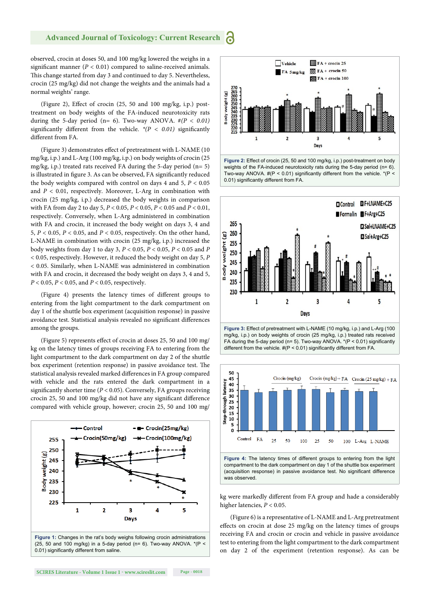observed, crocin at doses 50, and 100 mg/kg lowered the weighs in a significant manner ( $P < 0.01$ ) compared to saline-received animals. This change started from day 3 and continued to day 5. Nevertheless, crocin (25 mg/kg) did not change the weights and the animals had a normal weights' range.

(Figure 2), Effect of crocin  $(25, 50 \text{ and } 100 \text{ mg/kg}, i.p.)$  posttreatment on body weights of the FA-induced neurotoxicity rats during the 5-day period (n= 6). Two-way ANOVA. #*(P < 0.01)* significantly different from the vehicle.  $*(P < 0.01)$  significantly different from FA.

(Figure 3) demonstrates effect of pretreatment with L-NAME (10) mg/kg, i.p.) and L-Arg (100 mg/kg, i.p.) on body weights of crocin (25 mg/kg, i.p.) treated rats received FA during the 5-day period  $(n=5)$ is illustrated in figure 3. As can be observed, FA significantly reduced the body weights compared with control on days  $4$  and  $5$ ,  $P < 0.05$ and  $P < 0.01$ , respectively. Moreover, L-Arg in combination with crocin (25 mg/kg, i.p.) decreased the body weights in comparison with FA from day 2 to day 5, *P* < 0.05, *P* < 0.05, *P* < 0.05 and *P* < 0.01, respectively. Conversely, when L-Arg administered in combination with FA and crocin, it increased the body weight on days 3, 4 and 5, *P* < 0.05, *P* < 0.05, and *P* < 0.05, respectively. On the other hand, L-NAME in combination with crocin (25 mg/kg, i.p.) increased the body weights from day 1 to day 3, *P* < 0.05, *P* < 0.05, *P* < 0.05 and *P* < 0.05, respectively. However, it reduced the body weight on day 5, *P*  < 0.05. Similarly, when L-NAME was administered in combination with FA and crocin, it decreased the body weight on days 3, 4 and 5, *P* < 0.05, *P* < 0.05, and *P* < 0.05, respectively.

(Figure 4) presents the latency times of different groups to entering from the light compartment to the dark compartment on day 1 of the shuttle box experiment (acquisition response) in passive avoidance test. Statistical analysis revealed no significant differences among the groups.

(Figure 5) represents effect of crocin at doses 25, 50 and 100 mg/ kg on the latency times of groups receiving FA to entering from the light compartment to the dark compartment on day 2 of the shuttle box experiment (retention response) in passive avoidance test. The statistical analysis revealed marked differences in FA group compared with vehicle and the rats entered the dark compartment in a significantly shorter time ( $P < 0.05$ ). Conversely, FA groups receiving crocin 25, 50 and 100 mg/kg did not have any significant difference compared with vehicle group, however; crocin 25, 50 and 100 mg/













kg were markedly different from FA group and hade a considerably higher latencies, *P* < 0.05.

(Figure 6) is a representative of L-NAME and L-Arg pretreatment effects on crocin at dose 25 mg/kg on the latency times of groups receiving FA and crocin or crocin and vehicle in passive avoidance test to entering from the light compartment to the dark compartment on day 2 of the experiment (retention response). As can be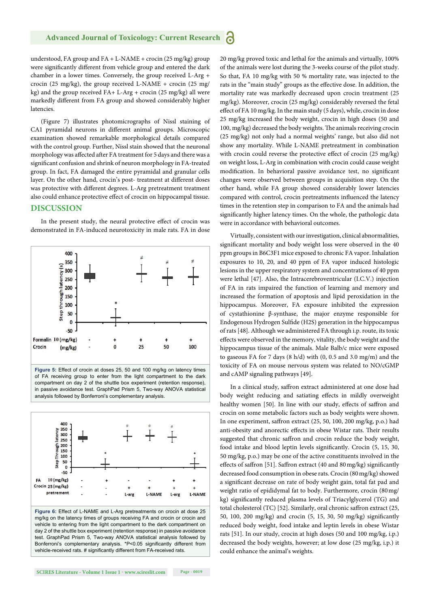understood, FA group and FA + L-NAME + crocin (25 mg/kg) group were significantly different from vehicle group and entered the dark chamber in a lower times. Conversely, the group received L-Arg + crocin (25 mg/kg), the group received L-NAME + crocin (25 mg/ kg) and the group received FA+ L-Arg + crocin (25 mg/kg) all were markedly different from FA group and showed considerably higher latencies.

(Figure 7) illustrates photomicrographs of Nissl staining of CA1 pyramidal neurons in different animal groups. Microscopic examination showed remarkable morphological details compared with the control group. Further, Nissl stain showed that the neuronal morphology was affected after FA treatment for 5 days and there was a significant confusion and shrink of neuron morphology in FA-treated group. In fact, FA damaged the entire pyramidal and granular cells layer. On the other hand, crocin's post-treatment at different doses was protective with different degrees. L-Arg pretreatment treatment also could enhance protective effect of crocin on hippocampal tissue.

#### **DISCUSSION**

In the present study, the neural protective effect of crocin was demonstrated in FA-induced neurotoxicity in male rats. FA in dose





mg/kg on the latency times of groups receiving FA and crocin or crocin and vehicle to entering from the light compartment to the dark compartment on day 2 of the shuttle box experiment (retention response) in passive avoidance test. GraphPad Prism 5, Two-way ANOVA statistical analysis followed by Bonferroni's complementary analysis. \*P<0.05 significantly different from vehicle-received rats. # significantly different from FA-received rats.

20 mg/kg proved toxic and lethal for the animals and virtually, 100% of the animals were lost during the 3-weeks course of the pilot study. So that, FA 10 mg/kg with 50 % mortality rate, was injected to the rats in the "main study" groups as the effective dose. In addition, the mortality rate was markedly decreased upon crocin treatment (25 mg/kg). Moreover, crocin (25 mg/kg) considerably reversed the fetal effect of FA 10 mg/kg. In the main study (5 days), while, crocin in dose 25 mg/kg increased the body weight, crocin in high doses (50 and 100, mg/kg) decreased the body weights. The animals receiving crocin (25 mg/kg) not only had a normal weights' range, but also did not show any mortality. While L-NAME pretreatment in combination with crocin could reverse the protective effect of crocin (25 mg/kg) on weight loss, L-Arg in combination with crocin could cause weight modification. In behavioral passive avoidance test, no significant changes were observed between groups in acquisition step. On the other hand, while FA group showed considerably lower latencies compared with control, crocin pretreatments influenced the latency times in the retention step in comparison to FA and the animals had significantly higher latency times. On the whole, the pathologic data were in accordance with behavioral outcomes.

Virtually, consistent with our investigation, clinical abnormalities, significant mortality and body weight loss were observed in the 40 ppm groups in B6C3F1 mice exposed to chronic FA vapor. Inhalation exposures to 10, 20, and 40 ppm of FA vapor induced histologic lesions in the upper respiratory system and concentrations of 40 ppm were lethal [47]. Also, the Intracerebroventricular (I.C.V.) injection of FA in rats impaired the function of learning and memory and increased the formation of apoptosis and lipid peroxidation in the hippocampus. Moreover, FA exposure inhibited the expression of cystathionine β-synthase, the major enzyme responsible for Endogenous Hydrogen Sulfide (H2S) generation in the hippocampus of rats [48]. Although we administered FA through i.p. route, its toxic effects were observed in the memory, vitality, the body weight and the hippocampus tissue of the animals. Male Balb/c mice were exposed to gaseous FA for 7 days (8 h/d) with (0, 0.5 and 3.0 mg/m) and the toxicity of FA on mouse nervous system was related to NO/cGMP and cAMP signaling pathways [49].

In a clinical study, saffron extract administered at one dose had body weight reducing and satiating effects in mildly overweight healthy women [50]. In line with our study, effects of saffron and crocin on some metabolic factors such as body weights were shown. In one experiment, saffron extract (25, 50, 100, 200 mg/kg, p.o.) had anti-obesity and anorectic effects in obese Wistar rats. Their results suggested that chronic saffron and crocin reduce the body weight, food intake and blood leptin levels significantly. Crocin (5, 15, 30, 50 mg/kg, p.o.) may be one of the active constituents involved in the effects of saffron [51]. Saffron extract (40 and 80 mg/kg) significantly decreased food consumption in obese rats. Crocin (80 mg/kg) showed a significant decrease on rate of body weight gain, total fat pad and weight ratio of epididymal fat to body. Furthermore, crocin (80 mg/ kg) significantly reduced plasma levels of Triacylglycerol (TG) and total cholesterol (TC) [52]. Similarly, oral chronic saffron extract (25, 50, 100, 200 mg/kg) and crocin  $(5, 15, 30, 50 \text{ mg/kg})$  significantly reduced body weight, food intake and leptin levels in obese Wistar rats [51]. In our study, crocin at high doses (50 and 100 mg/kg, i.p.) decreased the body weights, however; at low dose (25 mg/kg, i.p.) it could enhance the animal's weights.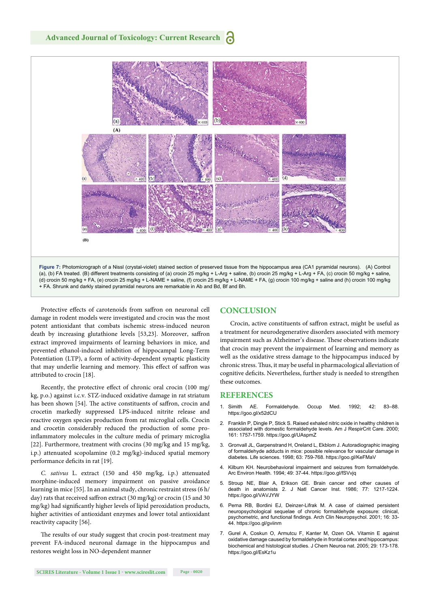

Protective effects of carotenoids from saffron on neuronal cell damage in rodent models were investigated and crocin was the most potent antioxidant that combats ischemic stress-induced neuron death by increasing glutathione levels [53,23]. Moreover, saffron extract improved impairments of learning behaviors in mice, and prevented ethanol-induced inhibition of hippocampal Long-Term Potentiation (LTP), a form of activity-dependent synaptic plasticity that may underlie learning and memory. This effect of saffron was attributed to crocin [18].

Recently, the protective effect of chronic oral crocin (100 mg/ kg, p.o.) against i.c.v. STZ-induced oxidative damage in rat striatum has been shown [54]. The active constituents of saffron, crocin and crocetin markedly suppressed LPS-induced nitrite release and reactive oxygen species production from rat microglial cells. Crocin and crocetin considerably reduced the production of some proinflammatory molecules in the culture media of primary microglia [22]. Furthermore, treatment with crocins (30 mg/kg and 15 mg/kg, i.p.) attenuated scopolamine (0.2 mg/kg)-induced spatial memory performance deficits in rat [19].

*C. sativus* L. extract (150 and 450 mg/kg, i.p.) attenuated morphine-induced memory impairment on passive avoidance learning in mice [55]. In an animal study, chronic restraint stress (6 h/ day) rats that received saffron extract (30 mg/kg) or crocin (15 and 30 mg/kg) had significantly higher levels of lipid peroxidation products, higher activities of antioxidant enzymes and lower total antioxidant reactivity capacity [56].

The results of our study suggest that crocin post-treatment may prevent FA-induced neuronal damage in the hippocampus and restores weight loss in NO-dependent manner

#### **CONCLUSION**

Crocin, active constituents of saffron extract, might be useful as a treatment for neurodegenerative disorders associated with memory impairment such as Alzheimer's disease. These observations indicate that crocin may prevent the impairment of learning and memory as well as the oxidative stress damage to the hippocampus induced by chronic stress. Thus, it may be useful in pharmacological alleviation of cognitive deficits. Nevertheless, further study is needed to strengthen these outcomes.

#### **REFERENCES**

- 1. Simith AE. Formaldehyde. Occup Med. 1992; 42: 83–88. https://goo.gl/x52dCU
- 2. Franklin P, Dingle P, Stick S. Raised exhaled nitric oxide in healthy children is associated with domestic formaldehyde levels. Am J RespirCrit Care. 2000; 161: 1757-1759. https://goo.gl/UAspmZ
- 3. Gronvall JL, Garpenstrand H, Oreland L, Ekblom J. Autoradiographic imaging of formaldehyde adducts in mice: possible relevance for vascular damage in diabetes. Life sciences. 1998; 63: 759-768. https://goo.gl/KeFMaV
- 4. Kilburn KH. Neurobehavioral impairment and seizures from formaldehyde. Arc Environ Health. 1994; 49: 37-44. https://goo.gl/fSVvjq
- 5. Stroup NE, Blair A, Erikson GE. Brain cancer and other causes of death in anatomists 2. J Natl Cancer Inst. 1986; 77: 1217-1224. https://goo.gl/VAVJYW
- 6. Perna RB, Bordini EJ, Deinzer-Lifrak M. A case of claimed persistent neuropsychological sequelae of chronic formaldehyde exposure: clinical, psychometric, and functional findings. Arch Clin Neuropsychol. 2001; 16: 33-44. https://goo.gl/gviinm
- 7. Gurel A, Coskun O, Armutcu F, Kanter M, Ozen OA. Vitamin E against oxidative damage caused by formaldehyde in frontal cortex and hippocampus: biochemical and histological studies. J Chem Neuroa nat. 2005; 29: 173-178. https://goo.gl/EsKz1u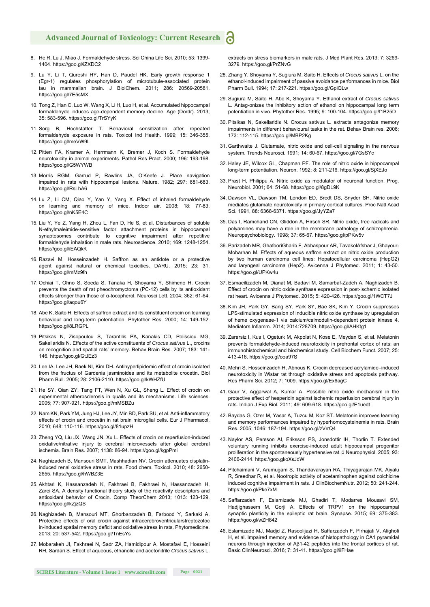- 8. He R, Lu J, Miao J. Formaldehyde stress. Sci China Life Sci. 2010; 53: 1399- 1404. https://goo.gl/iZXDC2
- 9. Lu Y, Li T, Qureshi HY, Han D, Paudel HK. Early growth response 1 (Egr-1) regulates phosphorylation of microtubule-associated protein tau in mammalian brain. J BiolChem. 2011; 286: 20569-20581. https://goo.gl/7E5sMX
- 10. Tong Z, Han C, Luo W, Wang X, Li H, Luo H, et al. Accumulated hippocampal formaldehyde induces age-dependent memory decline. Age (Dordr). 2013; 35: 583-596. https://goo.gl/TrSYyK
- 11. Sorg B, Hochstatter T. Behavioral sensitization after repeated formaldehyde exposure in rats. Toxicol Ind Health. 1999; 15: 346-355. https://goo.gl/meVW9L
- 12. Pitten FA, Kramer A, Herrmann K, Bremer J, Koch S. Formaldehyde neurotoxicity in animal experiments. Pathol Res Pract. 2000; 196: 193-198. https://goo.gl/G5WYWB
- 13. Morris RGM, Garrud P, Rawlins JA, O'Keefe J. Place navigation impaired in rats with hippocampal lesions. Nature. 1982; 297: 681-683. https://goo.gl/RsLhA6
- 14. Lu Z, Li CM, Qiao Y, Yan Y, Yang X. Effect of inhaled formaldehyde on learning and memory of mice. Indoor air. 2008; 18: 77-83. https://goo.gl/nK5E4C
- 15. Liu Y, Ye Z, Yang H, Zhou L, Fan D, He S, et al. Disturbances of soluble N-ethylmaleimide-sensitive factor attachment proteins in hippocampal synaptosomes contribute to cognitive impairment after repetitive formaldehyde inhalation in male rats. Neuroscience. 2010; 169: 1248-1254. https://goo.gl/iEAQkK
- 16. Razavi M, Hosseinzadeh H. Saffron as an antidote or a protective agent against natural or chemical toxicities. DARU. 2015; 23: 31. https://goo.gl/mMz9fn
- 17. Ochiai T, Ohno S, Soeda S, Tanaka H, Shoyama Y, Shimeno H. Crocin prevents the death of rat pheochromyctoma (PC-12) cells by its antioxidant effects stronger than those of α-tocopherol. Neurosci Lett. 2004; 362: 61-64. https://goo.gl/aqou6Y
- 18. Abe K, Saito H. Effects of saffron extract and its constituent crocin on learning behaviour and long-term potentiation. Phytother Res. 2000; 14: 149-152. https://goo.gl/8LRGPL
- 19. Pitsikas N, Zisopoulou S, Tarantilis PA, Kanakis CD, Polissiou MG, Sakellaridis N. Effects of the active constituents of *Crocus sativus* L., crocins on recognition and spatial rats' memory. Behav Brain Res. 2007; 183: 141- 146. https://goo.gl/GtJEz3
- 20. Lee IA, Lee JH, Baek NI, Kim DH. Antihyperlipidemic effect of crocin isolated from the fructus of Gardenia jasminoides and its metabolite crocetin. Biol Pharm Bull. 2005; 28: 2106-2110. https://goo.gl/kWHZfU
- 21. He SY, Qian ZY, Tang FT, Wen N, Xu GL, Sheng L. Effect of crocin on experimental atherosclerosis in quails and its mechanisms. Life sciences. 2005; 77: 907-921. https://goo.gl/mMSBZu
- 22. Nam KN, Park YM, Jung HJ, Lee JY, Min BD, Park SU, et al. Anti-inflammatory effects of crocin and crocetin in rat brain microglial cells. Eur J Pharmacol. 2010; 648: 110-116. https://goo.gl/81upzH
- 23. Zheng YQ, Liu JX, Wang JN, Xu L. Effects of crocin on reperfusion-induced oxidative/nitrative injury to cerebral microvessels after global cerebral ischemia. Brain Res. 2007; 1138: 86-94. https://goo.gl/kgpPmi
- 24. Naghizadeh B, Mansouri SMT, Mashhadian NV. Crocin attenuates cisplatininduced renal oxidative stress in rats. Food chem. Toxicol. 2010; 48: 2650- 2655. https://goo.gl/hWBZ3E
- 25. Akhtari K, Hassanzadeh K, Fakhraei B, Fakhraei N, Hassanzadeh H, Zarei SA. A density functional theory study of the reactivity descriptors and antioxidant behavior of Crocin. Comp TheorChem 2013; 1013: 123-129. https://goo.gl/kZjzQS
- 26. Naghizadeh B, Mansouri MT, Ghorbanzadeh B, Farbood Y, Sarkaki A. Protective effects of oral crocin against intracerebroventricularstreptozotoc in-induced spatial memory deficit and oxidative stress in rats. Phytomedicine. 2013; 20: 537-542. https://goo.gl/TnEsYs
- 27. Mobarakeh JI, Fakhraei N, Sadr ZA, Hamidipour A, Mostafavi E, Hosseini RH, Sardari S. Effect of aqueous, ethanolic and acetonitrile *Crocus sativus* L.

extracts on stress biomarkers in male rats. J Med Plant Res. 2013; 7: 3269- 3279. https://goo.gl/PrZNvG

- 28. Zhang Y, Shoyama Y, Sugiura M, Saito H. Effects of *Crocus sativus* L. on the ethanol-induced impairment of passive avoidance performances in mice. Biol Pharm Bull. 1994; 17: 217-221. https://goo.gl/GpiQLw
- 29. Sugiura M, Saito H, Abe K, Shoyama Y. Ethanol extract of *Crocus sativus* L. Antag-onizes the inhibitory action of ethanol on hippocampal long term potentiation in vivo. Phytother Res. 1995; 9: 100-104. https://goo.gl/f1B25D
- 30. Pitsikas N, Sakellaridis N. Crocus sativus L. extracts antagonize memory impairments in different behavioural tasks in the rat. Behav Brain res. 2006; 173: 112-115. https://goo.gl/MBP2Kg
- 31. Garthwaite J. Glutamate, nitric oxide and cell-cell signaling in the nervous system. Trends Neurosci. 1991; 14: 60-67. https://goo.gl/7GsSYc
- 32. Haley JE, Wilcox GL, Chapman PF. The role of nitric oxide in hippocampal long-term potentiation. Neuron. 1992; 8: 211-216. https://goo.gl/SjXEJo
- 33. Prast H, Philippu A. Nitric oxide as modulator of neuronal function. Prog. Neurobiol. 2001; 64: 51-68. https://goo.gl/8gDL9K
- 34. Dawson VL, Dawson TM, London ED, Bredt DS, Snyder SH. Nitric oxide mediates glutamate neurotoxicity in primary cortical cultures. Proc Natl Acad Sci. 1991, 88: 6368-6371. https://goo.gl/JyYZa7
- 35. Das I, Ramchand CN, Gliddon A, Hirsch SR. Nitric oxide, free radicals and polyamines may have a role in the membrane pathology of schizophrenia. Neuropsychobiology. 1998; 37: 65-67. https://goo.gl/pPKw5v
- 36. Parizadeh MR, GhafooriGharib F, Abbaspour AR, TavakolAfshar J, Ghayour-Mobarhan M. Effects of aqueous saffron extract on nitric oxide production by two human carcinoma cell lines: Hepatocellular carcinoma (HepG2) and laryngeal carcinoma (Hep2). Avicenna J Phytomed. 2011; 1: 43-50. https://goo.gl/UPKw4u
- 37. Esmaeilizadeh M, Dianat M, Badavi M, Samarbaf-Zadeh A, Naghizadeh B. Effect of crocin on nitric oxide synthase expression in post-ischemic isolated rat heart. Avicenna J Phytomed. 2015; 5: 420-426. https://goo.gl/1WCT7J
- 38. Kim JH, Park GY, Bang SY, Park SY, Bae SK, Kim Y. Crocin suppresses LPS-stimulated expression of inducible nitric oxide synthase by upregulation of heme oxygenase-1 via calcium/calmodulin-dependent protein kinase 4. Mediators Inflamm. 2014; 2014:728709. https://goo.gl/AHKtg1
- 39. Zararsiz I, Kus I, Ogeturk M, Akpolat N, Kose E, Meydan S, et al. Melatonin prevents formaldehyde-induced neurotoxicity in prefrontal cortex of rats: an immunohistochemical and biochemical study. Cell Biochem Funct. 2007; 25: 413-418. https://goo.gl/ooa97S
- 40. Mehri S, Hosseinzadeh H, Abnous K. Crocin decreased acrylamide–induced neurotoxicity in Wistar rat through oxidative stress and apoptosis pathway. Res Pharm Sci. 2012; 7: 1009. https://goo.gl/Ex6agC
- 41. Gaur V, Aggarwal A, Kumar A. Possible nitric oxide mechanism in the protective effect of hesperidin against ischemic reperfusion cerebral injury in rats. Indian J Exp Biol. 2011; 49: 609-618. https://goo.gl/E1uedt
- 42. Baydas G, Ozer M, Yasar A, Tuzcu M, Koz ST. Melatonin improves learning and memory performances impaired by hyperhomocysteinemia in rats. Brain Res. 2005; 1046: 187-194. https://goo.gl/zVrrQ4
- 43. Naylor AS, Persson AI, Eriksson PS, Jonsdottir IH, Thorlin T. Extended voluntary running inhibits exercise-induced adult hippocampal progenitor proliferation in the spontaneously hypertensive rat.  $\beta$  Neurophysiol. 2005; 93: 2406-2414. https://goo.gl/oXsJdW
- 44. Pitchaimani V, Arumugam S, Thandavarayan RA, Thiyagarajan MK, Aiyalu R, Sreedhar R, et al. Nootropic activity of acetaminophen against colchicine induced cognitive impairment in rats. J ClinBiochemNutr. 2012; 50: 241-244. https://goo.gl/Pke7xM
- 45. Saffarzadeh F, Eslamizade MJ, Ghadiri T, Modarres Mousavi SM, Hadjighassem M, Gorji A. Effects of TRPV1 on the hippocampal synaptic plasticity in the epileptic rat brain. Synapse. 2015; 69: 375-383. https://goo.gl/wZH842
- 46. Eslamizade MJ, Madjd Z, Rasoolijazi H, Saffarzadeh F, Pirhajati V, Aligholi H, et al. Impaired memory and evidence of histopathology in CA1 pyramidal neurons through injection of Aβ1-42 peptides into the frontal cortices of rat. Basic ClinNeurosci. 2016; 7: 31-41. https://goo.gl/iiFHae